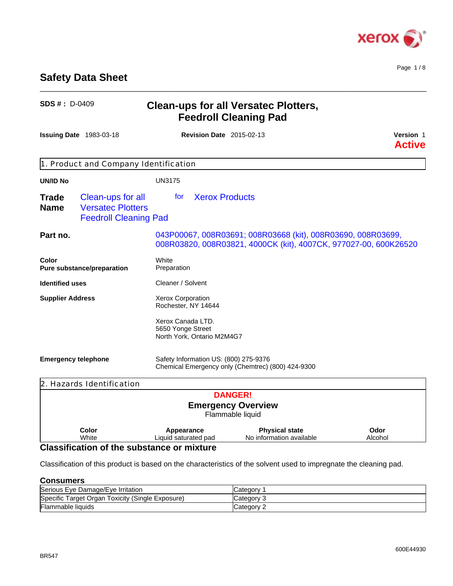

## **Safety Data Sheet**

| <b>SDS #: D-0409</b>        |                                                                               | <b>Clean-ups for all Versatec Plotters,</b><br><b>Feedroll Cleaning Pad</b> |                                                                                                                                  |                            |
|-----------------------------|-------------------------------------------------------------------------------|-----------------------------------------------------------------------------|----------------------------------------------------------------------------------------------------------------------------------|----------------------------|
|                             | <b>Issuing Date 1983-03-18</b>                                                |                                                                             | <b>Revision Date 2015-02-13</b>                                                                                                  | Version 1<br><b>Active</b> |
|                             | 1. Product and Company Identification                                         |                                                                             |                                                                                                                                  |                            |
| <b>UN/ID No</b>             |                                                                               | <b>UN3175</b>                                                               |                                                                                                                                  |                            |
| <b>Trade</b><br><b>Name</b> | Clean-ups for all<br><b>Versatec Plotters</b><br><b>Feedroll Cleaning Pad</b> | for                                                                         | <b>Xerox Products</b>                                                                                                            |                            |
| Part no.                    |                                                                               |                                                                             | 043P00067, 008R03691; 008R03668 (kit), 008R03690, 008R03699,<br>008R03820, 008R03821, 4000CK (kit), 4007CK, 977027-00, 600K26520 |                            |
| Color                       | Pure substance/preparation                                                    | White<br>Preparation                                                        |                                                                                                                                  |                            |
| <b>Identified uses</b>      |                                                                               | Cleaner / Solvent                                                           |                                                                                                                                  |                            |
| <b>Supplier Address</b>     |                                                                               | Xerox Corporation<br>Rochester, NY 14644                                    |                                                                                                                                  |                            |
|                             |                                                                               | Xerox Canada LTD.<br>5650 Yonge Street<br>North York, Ontario M2M4G7        |                                                                                                                                  |                            |
|                             | <b>Emergency telephone</b>                                                    |                                                                             | Safety Information US: (800) 275-9376<br>Chemical Emergency only (Chemtrec) (800) 424-9300                                       |                            |
|                             | 2. Hazards Identification                                                     |                                                                             |                                                                                                                                  |                            |
|                             |                                                                               |                                                                             | <b>DANGER!</b>                                                                                                                   |                            |
|                             |                                                                               |                                                                             | <b>Emergency Overview</b>                                                                                                        |                            |

\_\_\_\_\_\_\_\_\_\_\_\_\_\_\_\_\_\_\_\_\_\_\_\_\_\_\_\_\_\_\_\_\_\_\_\_\_\_\_\_\_\_\_\_\_\_\_\_\_\_\_\_\_\_\_\_\_\_\_\_\_\_\_\_\_\_\_\_\_\_\_\_\_\_\_\_\_\_\_\_\_\_\_\_\_\_\_\_\_\_\_\_\_\_

Flammable liquid **Color** White **Liqu Appearance** Liquid saturated pad **Physical state** No information available **Odor** Alcohol

## **Classification of the substance or mixture**

Classification of this product is based on the characteristics of the solvent used to impregnate the cleaning pad.

#### **Consumers**

| Serious Eye<br>e Damage/Eve Irritation                    | ∠ateαor∨ |
|-----------------------------------------------------------|----------|
| Toxicity (Single Exposure)<br>arget<br>Specific<br>∵Organ | Categor∨ |
| Flammable liquids                                         | Jategory |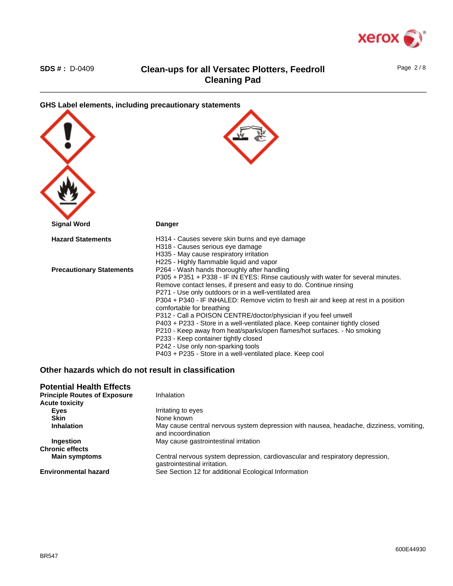

Page 2 / 8

| GHS Label elements, including precautionary statements |                                                                                                                                                                                                                                                                                                                                                                                                                                                                                                                                                                                                                                                                                                                                                                |
|--------------------------------------------------------|----------------------------------------------------------------------------------------------------------------------------------------------------------------------------------------------------------------------------------------------------------------------------------------------------------------------------------------------------------------------------------------------------------------------------------------------------------------------------------------------------------------------------------------------------------------------------------------------------------------------------------------------------------------------------------------------------------------------------------------------------------------|
| <b>Signal Word</b>                                     | <b>Danger</b>                                                                                                                                                                                                                                                                                                                                                                                                                                                                                                                                                                                                                                                                                                                                                  |
| <b>Hazard Statements</b>                               | H314 - Causes severe skin burns and eye damage<br>H318 - Causes serious eye damage<br>H335 - May cause respiratory irritation<br>H225 - Highly flammable liquid and vapor                                                                                                                                                                                                                                                                                                                                                                                                                                                                                                                                                                                      |
| <b>Precautionary Statements</b>                        | P264 - Wash hands thoroughly after handling<br>P305 + P351 + P338 - IF IN EYES: Rinse cautiously with water for several minutes.<br>Remove contact lenses, if present and easy to do. Continue rinsing<br>P271 - Use only outdoors or in a well-ventilated area<br>P304 + P340 - IF INHALED: Remove victim to fresh air and keep at rest in a position<br>comfortable for breathing<br>P312 - Call a POISON CENTRE/doctor/physician if you feel unwell<br>P403 + P233 - Store in a well-ventilated place. Keep container tightly closed<br>P210 - Keep away from heat/sparks/open flames/hot surfaces. - No smoking<br>P233 - Keep container tightly closed<br>P242 - Use only non-sparking tools<br>P403 + P235 - Store in a well-ventilated place. Keep cool |

### **Other hazards which do not result in classification**

| <b>Potential Health Effects</b>     |                                                                                                               |
|-------------------------------------|---------------------------------------------------------------------------------------------------------------|
| <b>Principle Routes of Exposure</b> | Inhalation                                                                                                    |
| <b>Acute toxicity</b>               |                                                                                                               |
| Eyes                                | Irritating to eyes                                                                                            |
| <b>Skin</b>                         | None known                                                                                                    |
| <b>Inhalation</b>                   | May cause central nervous system depression with nausea, headache, dizziness, vomiting,<br>and incoordination |
| <b>Ingestion</b>                    | May cause gastrointestinal irritation                                                                         |
| <b>Chronic effects</b>              |                                                                                                               |
| <b>Main symptoms</b>                | Central nervous system depression, cardiovascular and respiratory depression,<br>gastrointestinal irritation. |
| <b>Environmental hazard</b>         | See Section 12 for additional Ecological Information                                                          |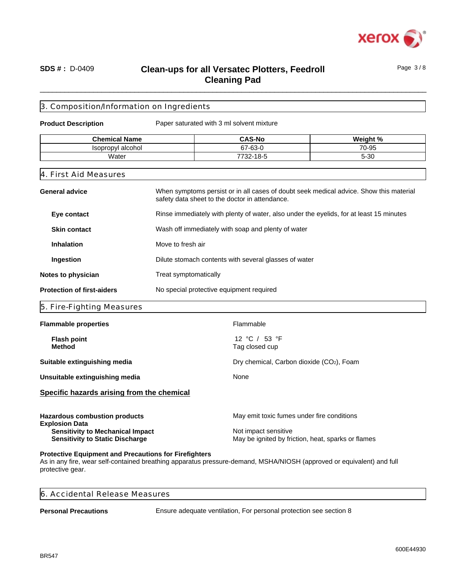

Page 3 / 8

### \_\_\_\_\_\_\_\_\_\_\_\_\_\_\_\_\_\_\_\_\_\_\_\_\_\_\_\_\_\_\_\_\_\_\_\_\_\_\_\_\_\_\_\_\_\_\_\_\_\_\_\_\_\_\_\_\_\_\_\_\_\_\_\_\_\_\_\_\_\_\_\_\_\_\_\_\_\_\_\_\_\_\_\_\_\_\_\_\_\_\_\_\_\_ **SDS # :** D-0409 **Clean-ups for all Versatec Plotters, Feedroll Cleaning Pad**

### 3. Composition/Information on Ingredients

**Product Description** Paper saturated with 3 ml solvent mixture

| <b>Chemical Name</b>             | <b>CAS-No</b>           | Moint 0                     |
|----------------------------------|-------------------------|-----------------------------|
| propvl alcohol<br>le∩r<br>ּי ישכ | $\sim$<br>c7<br>07-03-U | $\overline{z}$<br>)-95<br>◡ |
| Water                            | 18-ئ<br>770c<br>-32-    | $\sim$<br>--<br>∍ ט∪        |

#### 4. First Aid Measures

| Rinse immediately with plenty of water, also under the eyelids, for at least 15 minutes<br>Eye contact<br><b>Skin contact</b><br>Wash off immediately with soap and plenty of water<br>Move to fresh air<br><b>Inhalation</b> |
|-------------------------------------------------------------------------------------------------------------------------------------------------------------------------------------------------------------------------------|
|                                                                                                                                                                                                                               |
|                                                                                                                                                                                                                               |
|                                                                                                                                                                                                                               |
| Ingestion<br>Dilute stomach contents with several glasses of water                                                                                                                                                            |
| Treat symptomatically<br>Notes to physician                                                                                                                                                                                   |
| <b>Protection of first-aiders</b><br>No special protective equipment required                                                                                                                                                 |

#### 5. Fire-Fighting Measures

| <b>Flammable properties</b>                                                                                                                        | Flammable                                                                                                                |
|----------------------------------------------------------------------------------------------------------------------------------------------------|--------------------------------------------------------------------------------------------------------------------------|
| <b>Flash point</b><br><b>Method</b>                                                                                                                | 12 °C / 53 °F<br>Tag closed cup                                                                                          |
| Suitable extinguishing media                                                                                                                       | Dry chemical, Carbon dioxide (CO2), Foam                                                                                 |
| Unsuitable extinguishing media                                                                                                                     | None                                                                                                                     |
| Specific hazards arising from the chemical                                                                                                         |                                                                                                                          |
| <b>Hazardous combustion products</b><br><b>Explosion Data</b><br><b>Sensitivity to Mechanical Impact</b><br><b>Sensitivity to Static Discharge</b> | May emit toxic fumes under fire conditions<br>Not impact sensitive<br>May be ignited by friction, heat, sparks or flames |
|                                                                                                                                                    |                                                                                                                          |

#### **Protective Equipment and Precautions for Firefighters**

As in any fire, wear self-contained breathing apparatus pressure-demand, MSHA/NIOSH (approved or equivalent) and full protective gear.

| . Accidental Release Measures<br>$\overline{6}$ |  |
|-------------------------------------------------|--|
|                                                 |  |

**Personal Precautions** Ensure adequate ventilation, For personal protection see section 8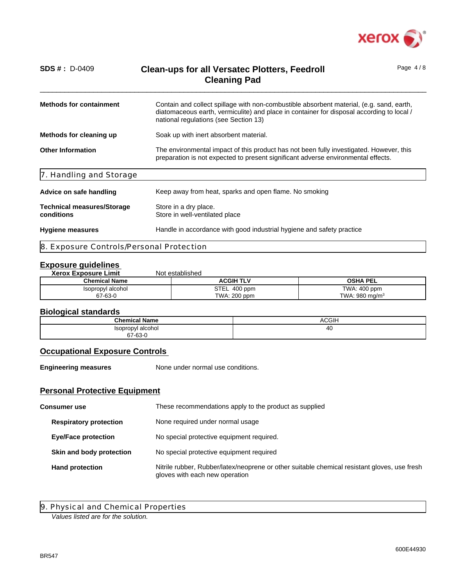

Page 4 / 8

| <b>Methods for containment</b>                  | Contain and collect spillage with non-combustible absorbent material, (e.g. sand, earth,<br>diatomaceous earth, vermiculite) and place in container for disposal according to local /<br>national regulations (see Section 13) |
|-------------------------------------------------|--------------------------------------------------------------------------------------------------------------------------------------------------------------------------------------------------------------------------------|
| Methods for cleaning up                         | Soak up with inert absorbent material.                                                                                                                                                                                         |
| <b>Other Information</b>                        | The environmental impact of this product has not been fully investigated. However, this<br>preparation is not expected to present significant adverse environmental effects.                                                   |
| 7. Handling and Storage                         |                                                                                                                                                                                                                                |
| Advice on safe handling                         | Keep away from heat, sparks and open flame. No smoking                                                                                                                                                                         |
| <b>Technical measures/Storage</b><br>conditions | Store in a dry place.<br>Store in well-ventilated place                                                                                                                                                                        |
| <b>Hygiene measures</b>                         | Handle in accordance with good industrial hygiene and safety practice                                                                                                                                                          |
|                                                 |                                                                                                                                                                                                                                |

8. Exposure Controls/Personal Protection

### **Exposure guidelines**

| <b>Xerox Exposure Limit</b> | Not established    |                           |
|-----------------------------|--------------------|---------------------------|
| <b>Chemical Name</b>        | <b>ACGIH TLV</b>   | <b>OSHA PEL</b>           |
| Isopropyl alcohol           | STEL<br>$.400$ ppm | TWA: 400 ppm              |
| 67-63-0                     | TWA: 200 ppm       | TWA: $980 \text{ mg/m}^3$ |

### **Biological standards**

|                              | ____         |  |  |
|------------------------------|--------------|--|--|
| <b>Chemical Name</b>         | <b>ACGIH</b> |  |  |
| Isopropyl alcohol<br>67-63-0 | 40           |  |  |

### **Occupational Exposure Controls**

**Engineering measures** None under normal use conditions.

### **Personal Protective Equipment**

| <b>Consumer use</b> |                                                                                                                                                          | These recommendations apply to the product as supplied |  |
|---------------------|----------------------------------------------------------------------------------------------------------------------------------------------------------|--------------------------------------------------------|--|
|                     | <b>Respiratory protection</b>                                                                                                                            | None required under normal usage                       |  |
|                     | <b>Eye/Face protection</b>                                                                                                                               | No special protective equipment required.              |  |
|                     | Skin and body protection                                                                                                                                 | No special protective equipment required               |  |
|                     | Nitrile rubber, Rubber/latex/neoprene or other suitable chemical resistant gloves, use fresh<br><b>Hand protection</b><br>gloves with each new operation |                                                        |  |

9. Physical and Chemical Properties

*Values listed are for the solution.*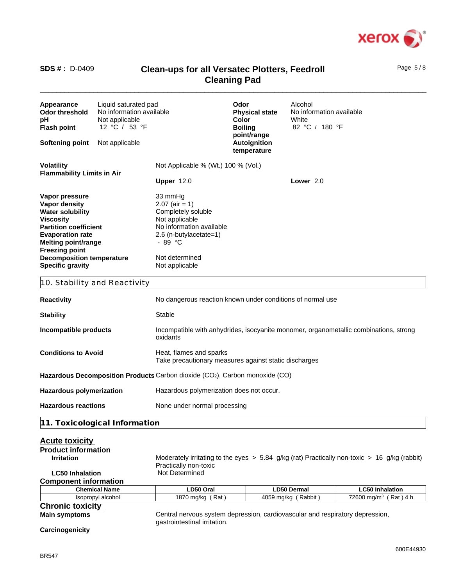

**Volatility Volatility Not Applicable % (Wt.) 100 % (Vol.) Flammability Limits in Air Vapor pressure** 33 mmHg **Vapor density** 2.07 (air = 1)<br> **Water solubility** Completely s **Water solubility** Completely soluble<br> **Viscosity** Not applicable **Viscosity** Not applicable **Partition coefficient** No information available **Evaporation rate** 2.6 (n-butylacetate=1) **Melting point/range**   $-89 °C$ **Freezing point Decomposition temperature** Not determined **Specific gravity** Not applicable 10. Stability and Reactivity **Reactivity Reactivity No dangerous reaction known under conditions of normal use Stability** Stable **Incompatible products** Incompatible with anhydrides, isocyanite monomer, organometallic combinations, strong oxidants **Conditions to Avoid** Heat, flames and sparks Take precautionary measures against static discharges Hazardous Decomposition Products Carbon dioxide (CO<sub>2</sub>), Carbon monoxide (CO) Hazardous polymerization **Hazardous polymerization does not occur. Hazardous reactions** None under normal processing **Appearance** Liquid saturated pad **Odor** Alcohol **Odor threshold** No information available **Physical state** No information available<br> **Physical state** No information available<br> **Color** White **PH** Not applicable **Color Color** White **Flash point** 12 °C / 53 °F **Boiling point/range** 82 °C / 180 °F **Softening point** Not applicable **temperature Upper** 12.0 **Lower** 2.0

**11. Toxicological Information**

| <b>Acute toxicity</b><br><b>Product information</b> |                              |                                                                                                  |                                   |  |
|-----------------------------------------------------|------------------------------|--------------------------------------------------------------------------------------------------|-----------------------------------|--|
| <b>Irritation</b>                                   | Practically non-toxic        | Moderately irritating to the eyes $> 5.84$ g/kg (rat) Practically non-toxic $> 16$ g/kg (rabbit) |                                   |  |
| <b>LC50 Inhalation</b>                              | Not Determined               |                                                                                                  |                                   |  |
| <b>Component information</b>                        |                              |                                                                                                  |                                   |  |
| <b>Chemical Name</b>                                | LD50 Oral                    | <b>LD50 Dermal</b>                                                                               | <b>LC50 Inhalation</b>            |  |
| Isopropyl alcohol                                   | 1870 mg/kg (Rat)             | 4059 mg/kg (Rabbit)                                                                              | 72600 mg/m <sup>3</sup> (Rat) 4 h |  |
| <b>Chronic toxicity</b>                             |                              |                                                                                                  |                                   |  |
| <b>Main symptoms</b>                                | gastrointestinal irritation. | Central nervous system depression, cardiovascular and respiratory depression,                    |                                   |  |
| Carcinogenicity                                     |                              |                                                                                                  |                                   |  |

Page 5 / 8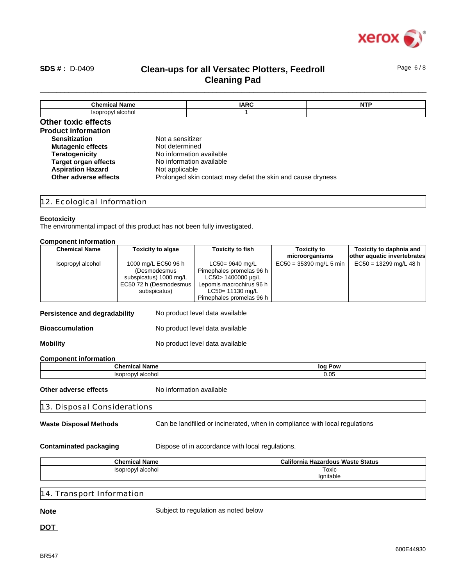

Page 6 / 8

### \_\_\_\_\_\_\_\_\_\_\_\_\_\_\_\_\_\_\_\_\_\_\_\_\_\_\_\_\_\_\_\_\_\_\_\_\_\_\_\_\_\_\_\_\_\_\_\_\_\_\_\_\_\_\_\_\_\_\_\_\_\_\_\_\_\_\_\_\_\_\_\_\_\_\_\_\_\_\_\_\_\_\_\_\_\_\_\_\_\_\_\_\_\_ **SDS # :** D-0409 **Clean-ups for all Versatec Plotters, Feedroll Cleaning Pad**

**Chemical Name IARC NTP** Isopropyl alcohol 1 **Other toxic effects Product information Sensitization** Not a sensitizer **Mutagenic effects** Not determined **Teratogenicity** No information available **Target organ effects** No information available **Aspiration Hazard** Not applicable **Other adverse effects** Prolonged skin contact may defat the skin and cause dryness

12. Ecological Information

#### **Ecotoxicity**

The environmental impact of this product has not been fully investigated.

#### **Component information**

| <b>Chemical Name</b> | <b>Toxicity to algae</b> | Toxicity to fish         | <b>Toxicity to</b>        | Toxicity to daphnia and     |
|----------------------|--------------------------|--------------------------|---------------------------|-----------------------------|
|                      |                          |                          | microorganisms            | other aquatic invertebrates |
| Isopropyl alcohol    | 1000 mg/L EC50 96 h      | LC50= 9640 mg/L          | $EC50 = 35390$ mg/L 5 min | $EC50 = 13299$ mg/L 48 h    |
|                      | (Desmodesmus             | Pimephales promelas 96 h |                           |                             |
|                      | subspicatus) 1000 mg/L   | LC50> 1400000 µg/L       |                           |                             |
|                      | EC50 72 h (Desmodesmus   | Lepomis macrochirus 96 h |                           |                             |
|                      | subspicatus)             | LC50= 11130 mg/L         |                           |                             |
|                      |                          | Pimephales promelas 96 h |                           |                             |

Persistence and degradability No product level data available

**Bioaccumulation** No product level data available

**Mobility** Mo product level data available

#### **Component information**

| <b>Chemical</b>            | Pow                |
|----------------------------|--------------------|
| ∵Nam⊾                      | log                |
| alcohol<br><b>Isopropy</b> | $\sqrt{2}$<br>u.uu |

**Other adverse effects** No information available

13. Disposal Considerations

**Waste Disposal Methods** Can be landfilled or incinerated, when in compliance with local regulations

**Contaminated packaging Bispose of in accordance with local regulations.** 

| <b>Chemical Name</b> | California<br>a Hazardous Waste Status |
|----------------------|----------------------------------------|
| Isopropyl alcohol    | Toxic                                  |
|                      | lanitable                              |

14. Transport Information

**Note** Subject to regulation as noted below

**DOT**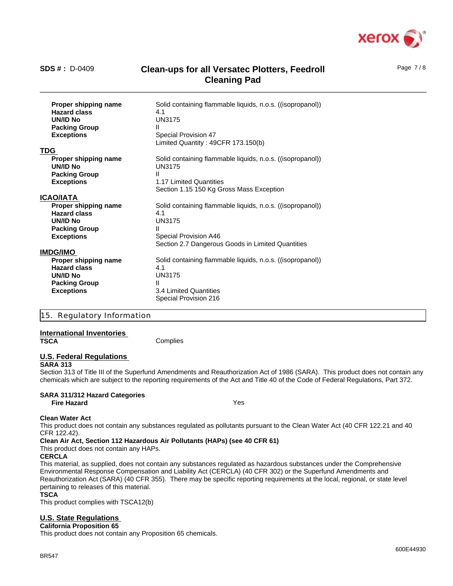

Page 7 / 8

| Proper shipping name<br><b>Hazard class</b><br><b>UN/ID No</b><br><b>Packing Group</b><br><b>Exceptions</b> | Solid containing flammable liquids, n.o.s. ((isopropanol))<br>4.1<br><b>UN3175</b><br>Ш<br>Special Provision 47<br>Limited Quantity: 49CFR 173.150(b) |
|-------------------------------------------------------------------------------------------------------------|-------------------------------------------------------------------------------------------------------------------------------------------------------|
| <b>TDG</b>                                                                                                  |                                                                                                                                                       |
| Proper shipping name<br><b>UN/ID No</b>                                                                     | Solid containing flammable liquids, n.o.s. ((isopropanol))<br><b>UN3175</b>                                                                           |
| <b>Packing Group</b>                                                                                        | Ш                                                                                                                                                     |
| <b>Exceptions</b>                                                                                           | 1.17 Limited Quantities<br>Section 1.15 150 Kg Gross Mass Exception                                                                                   |
| <b>ICAO/IATA</b>                                                                                            |                                                                                                                                                       |
| Proper shipping name                                                                                        | Solid containing flammable liquids, n.o.s. ((isopropanol))                                                                                            |
| <b>Hazard class</b>                                                                                         | 4.1                                                                                                                                                   |
| UN/ID No                                                                                                    | <b>UN3175</b>                                                                                                                                         |
| <b>Packing Group</b>                                                                                        | Ш                                                                                                                                                     |
| <b>Exceptions</b>                                                                                           | Special Provision A46                                                                                                                                 |
|                                                                                                             | Section 2.7 Dangerous Goods in Limited Quantities                                                                                                     |
| <b>IMDG/IMO</b>                                                                                             |                                                                                                                                                       |
| Proper shipping name                                                                                        | Solid containing flammable liquids, n.o.s. ((isopropanol))                                                                                            |
| <b>Hazard class</b>                                                                                         | 4.1                                                                                                                                                   |
| UN/ID No                                                                                                    | <b>UN3175</b>                                                                                                                                         |
| <b>Packing Group</b>                                                                                        | Ш                                                                                                                                                     |
| <b>Exceptions</b>                                                                                           | 3.4 Limited Quantities                                                                                                                                |
|                                                                                                             | Special Provision 216                                                                                                                                 |

#### 15. Regulatory Information

# **International Inventories**

**Complies** 

### **U.S. Federal Regulations**

#### **SARA 313**

Section 313 of Title III of the Superfund Amendments and Reauthorization Act of 1986 (SARA). This product does not contain any chemicals which are subject to the reporting requirements of the Act and Title 40 of the Code of Federal Regulations, Part 372.

#### **SARA 311/312 Hazard Categories Fire Hazard** Yes

#### **Clean Water Act**

This product does not contain any substances regulated as pollutants pursuant to the Clean Water Act (40 CFR 122.21 and 40 CFR 122.42).

#### **Clean Air Act, Section 112 Hazardous Air Pollutants (HAPs) (see 40 CFR 61)**

This product does not contain any HAPs.

#### **CERCLA**

This material, as supplied, does not contain any substances regulated as hazardous substances under the Comprehensive Environmental Response Compensation and Liability Act (CERCLA) (40 CFR 302) or the Superfund Amendments and Reauthorization Act (SARA) (40 CFR 355). There may be specific reporting requirements at the local, regional, or state level pertaining to releases of this material.

#### **TSCA**

This product complies with TSCA12(b)

#### **U.S. State Regulations**

**California Proposition 65**

This product does not contain any Proposition 65 chemicals.